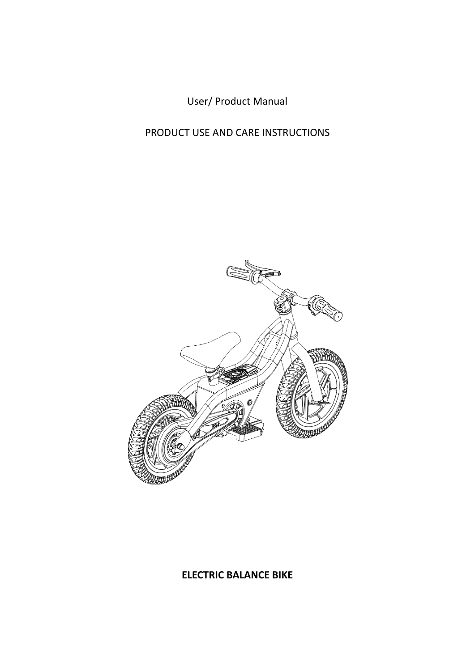User/ Product Manual

PRODUCT USE AND CARE INSTRUCTIONS



#### **ELECTRIC BALANCE BIKE**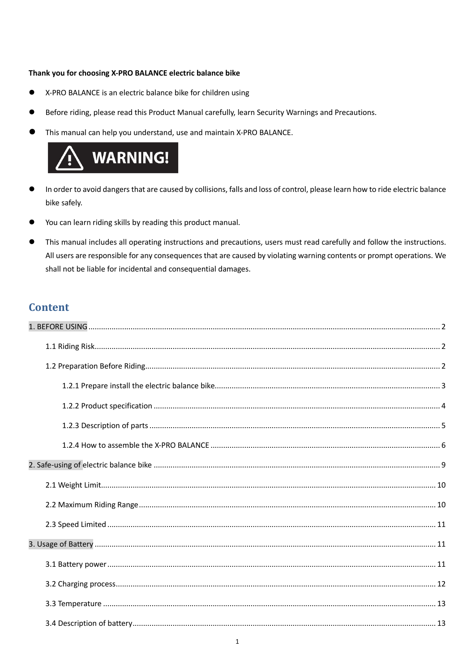#### Thank you for choosing X-PRO BALANCE electric balance bike

- X-PRO BALANCE is an electric balance bike for children using
- Before riding, please read this Product Manual carefully, learn Security Warnings and Precautions.
- This manual can help you understand, use and maintain X-PRO BALANCE.



- In order to avoid dangers that are caused by collisions, falls and loss of control, please learn how to ride electric balance bike safely.
- You can learn riding skills by reading this product manual.
- This manual includes all operating instructions and precautions, users must read carefully and follow the instructions. All users are responsible for any consequences that are caused by violating warning contents or prompt operations. We shall not be liable for incidental and consequential damages.

#### **Content**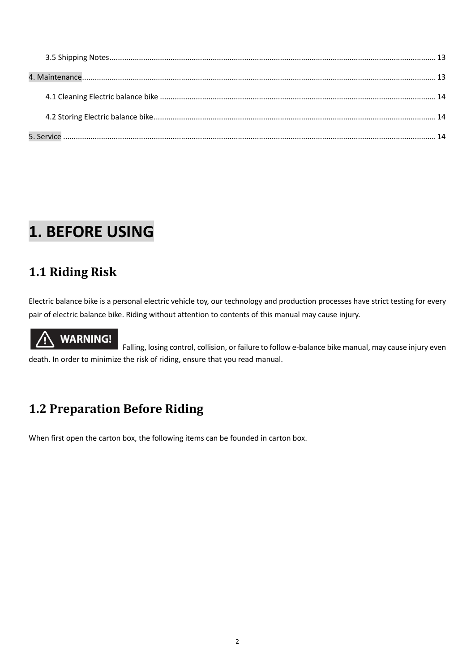# <span id="page-2-0"></span>**1. BEFORE USING**

### <span id="page-2-1"></span>**1.1 Riding Risk**

Electric balance bike is a personal electric vehicle toy, our technology and production processes have strict testing for every pair of electric balance bike. Riding without attention to contents of this manual may cause injury.

# **WARNING!**

Falling, losing control, collision, or failure to follow e-balance bike manual, may cause injury even death. In order to minimize the risk of riding, ensure that you read manual.

### <span id="page-2-2"></span>**1.2 Preparation Before Riding**

When first open the carton box, the following items can be founded in carton box.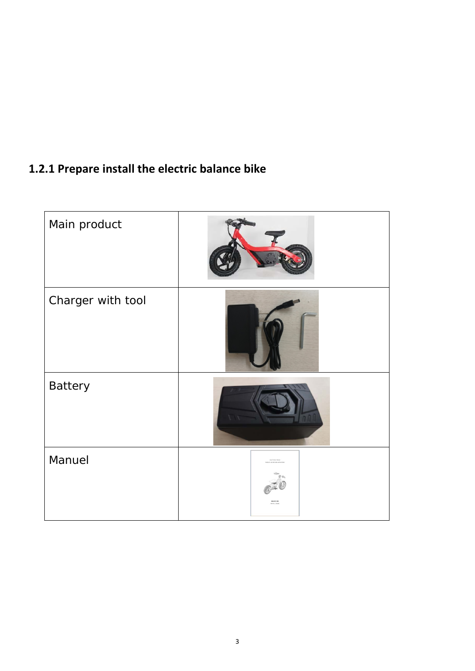### <span id="page-3-0"></span>**1.2.1 Prepare install the electric balance bike**

<span id="page-3-1"></span>

| Main product      |  |
|-------------------|--|
| Charger with tool |  |
| <b>Battery</b>    |  |
| Manuel            |  |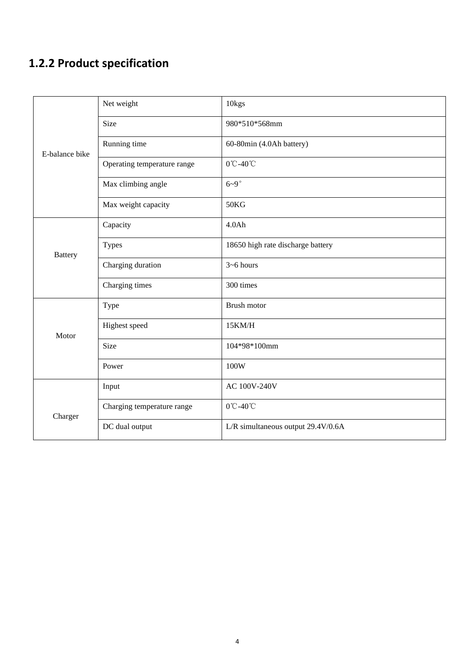## **1.2.2 Product specification**

| E-balance bike | Net weight                  | 10 <sub>kgs</sub>                  |  |
|----------------|-----------------------------|------------------------------------|--|
|                | <b>Size</b>                 | 980*510*568mm                      |  |
|                | Running time                | 60-80min (4.0Ah battery)           |  |
|                | Operating temperature range | 0°C-40°C                           |  |
|                | Max climbing angle          | $6-9^\circ$                        |  |
|                | Max weight capacity         | 50KG                               |  |
| <b>Battery</b> | Capacity                    | 4.0Ah                              |  |
|                | <b>Types</b>                | 18650 high rate discharge battery  |  |
|                | Charging duration           | $3 - 6$ hours                      |  |
|                | Charging times              | 300 times                          |  |
| Motor          | Type                        | Brush motor                        |  |
|                | Highest speed               | 15KM/H                             |  |
|                | Size                        | 104*98*100mm                       |  |
|                | Power                       | 100W                               |  |
|                | Input                       | AC 100V-240V                       |  |
| Charger        | Charging temperature range  | 0°C-40°C                           |  |
|                | DC dual output              | L/R simultaneous output 29.4V/0.6A |  |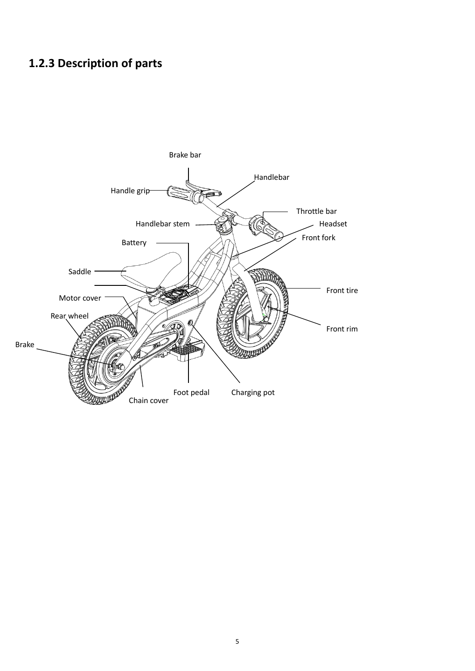### <span id="page-5-0"></span>**1.2.3 Description of parts**

<span id="page-5-1"></span>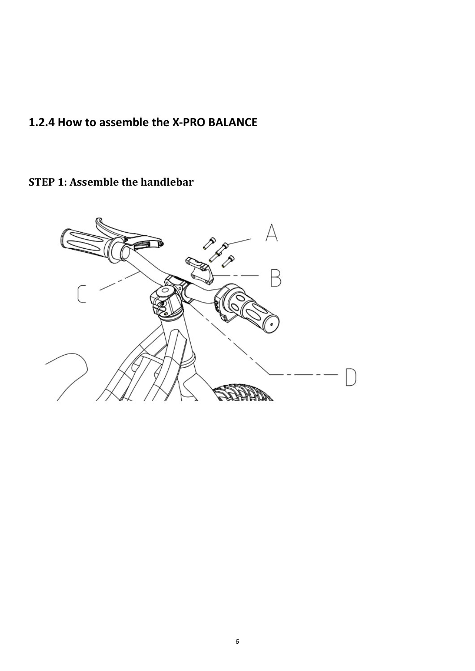### **1.2.4 How to assemble the X-PRO BALANCE**

**STEP 1: Assemble the handlebar**

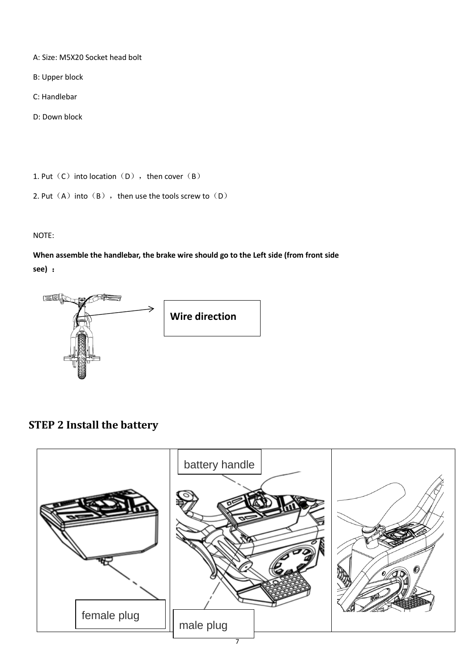- A: Size: M5X20 Socket head bolt
- B: Upper block
- C: Handlebar
- D: Down block

1. Put  $(C)$  into location  $(D)$ , then cover  $(B)$ 

```
2. Put (A) into (B), then use the tools screw to (D)
```
#### NOTE:

**When assemble the handlebar, the brake wire should go to the Left side (from front side see)** :



**Wire direction**

### **STEP 2 Install the battery**

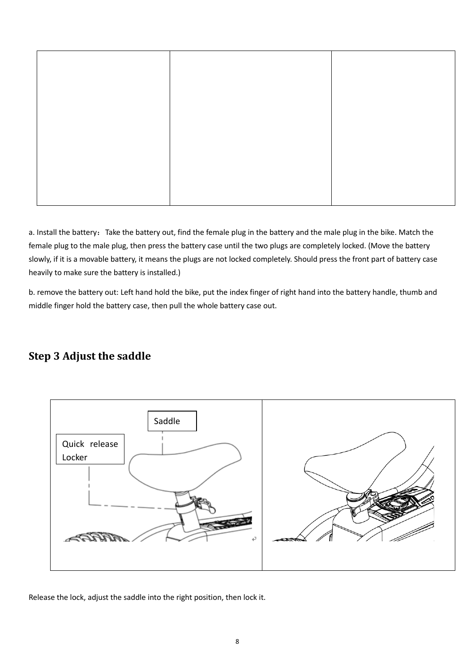a. Install the battery: Take the battery out, find the female plug in the battery and the male plug in the bike. Match the female plug to the male plug, then press the battery case until the two plugs are completely locked. (Move the battery slowly, if it is a movable battery, it means the plugs are not locked completely. Should press the front part of battery case heavily to make sure the battery is installed.)

b. remove the battery out: Left hand hold the bike, put the index finger of right hand into the battery handle, thumb and middle finger hold the battery case, then pull the whole battery case out.

#### **Step 3 Adjust the saddle**



Release the lock, adjust the saddle into the right position, then lock it.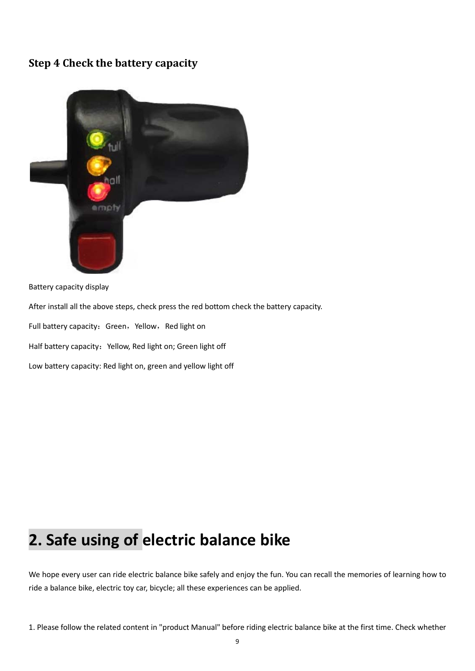#### **Step 4 Check the battery capacity**



Battery capacity display

After install all the above steps, check press the red bottom check the battery capacity.

Full battery capacity: Green, Yellow, Red light on

Half battery capacity: Yellow, Red light on; Green light off

Low battery capacity: Red light on, green and yellow light off

# <span id="page-9-0"></span>**2. Safe using of electric balance bike**

We hope every user can ride electric balance bike safely and enjoy the fun. You can recall the memories of learning how to ride a balance bike, electric toy car, bicycle; all these experiences can be applied.

1. Please follow the related content in "product Manual" before riding electric balance bike at the first time. Check whether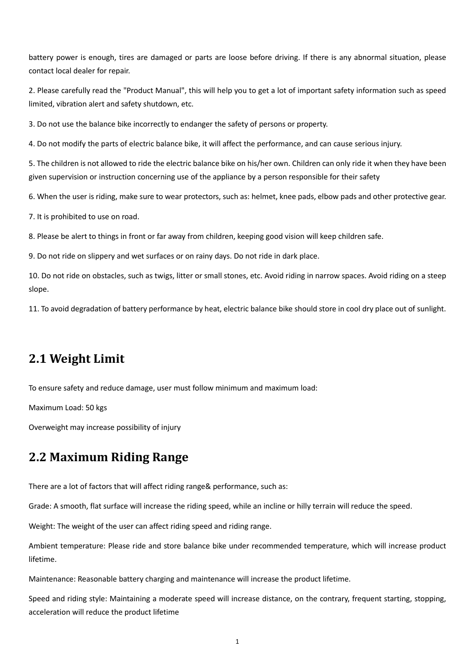battery power is enough, tires are damaged or parts are loose before driving. If there is any abnormal situation, please contact local dealer for repair.

2. Please carefully read the "Product Manual", this will help you to get a lot of important safety information such as speed limited, vibration alert and safety shutdown, etc.

3. Do not use the balance bike incorrectly to endanger the safety of persons or property.

4. Do not modify the parts of electric balance bike, it will affect the performance, and can cause serious injury.

5. The children is not allowed to ride the electric balance bike on his/her own. Children can only ride it when they have been given supervision or instruction concerning use of the appliance by a person responsible for their safety

6. When the user is riding, make sure to wear protectors, such as: helmet, knee pads, elbow pads and other protective gear.

7. It is prohibited to use on road.

8. Please be alert to things in front or far away from children, keeping good vision will keep children safe.

9. Do not ride on slippery and wet surfaces or on rainy days. Do not ride in dark place.

10. Do not ride on obstacles, such as twigs, litter or small stones, etc. Avoid riding in narrow spaces. Avoid riding on a steep slope.

11. To avoid degradation of battery performance by heat, electric balance bike should store in cool dry place out of sunlight.

#### <span id="page-10-0"></span>**2.1 Weight Limit**

To ensure safety and reduce damage, user must follow minimum and maximum load:

Maximum Load: 50 kgs

Overweight may increase possibility of injury

#### <span id="page-10-1"></span>**2.2 Maximum Riding Range**

There are a lot of factors that will affect riding range& performance, such as:

Grade: A smooth, flat surface will increase the riding speed, while an incline or hilly terrain will reduce the speed.

Weight: The weight of the user can affect riding speed and riding range.

Ambient temperature: Please ride and store balance bike under recommended temperature, which will increase product lifetime.

Maintenance: Reasonable battery charging and maintenance will increase the product lifetime.

Speed and riding style: Maintaining a moderate speed will increase distance, on the contrary, frequent starting, stopping, acceleration will reduce the product lifetime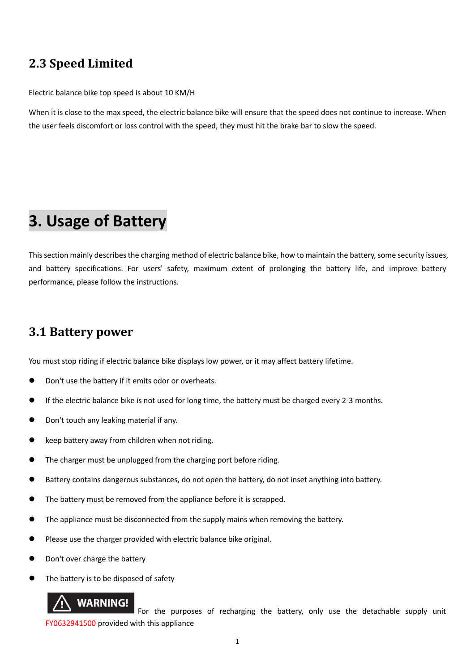### <span id="page-11-0"></span>**2.3 Speed Limited**

Electric balance bike top speed is about 10 KM/H

When it is close to the max speed, the electric balance bike will ensure that the speed does not continue to increase. When the user feels discomfort or loss control with the speed, they must hit the brake bar to slow the speed.

## <span id="page-11-1"></span>**3. Usage of Battery**

This section mainly describes the charging method of electric balance bike, how to maintain the battery, some security issues, and battery specifications. For users' safety, maximum extent of prolonging the battery life, and improve battery performance, please follow the instructions.

#### <span id="page-11-2"></span>**3.1 Battery power**

You must stop riding if electric balance bike displays low power, or it may affect battery lifetime.

- Don't use the battery if it emits odor or overheats.
- If the electric balance bike is not used for long time, the battery must be charged every 2-3 months.
- Don't touch any leaking material if any.
- keep battery away from children when not riding.
- The charger must be unplugged from the charging port before riding.
- Battery contains dangerous substances, do not open the battery, do not inset anything into battery.
- The battery must be removed from the appliance before it is scrapped.
- The appliance must be disconnected from the supply mains when removing the battery.
- Please use the charger provided with electric balance bike original.
- Don't over charge the battery
- The battery is to be disposed of safety

#### **WARNING!**

 For the purposes of recharging the battery, only use the detachable supply unit FY0632941500 provided with this appliance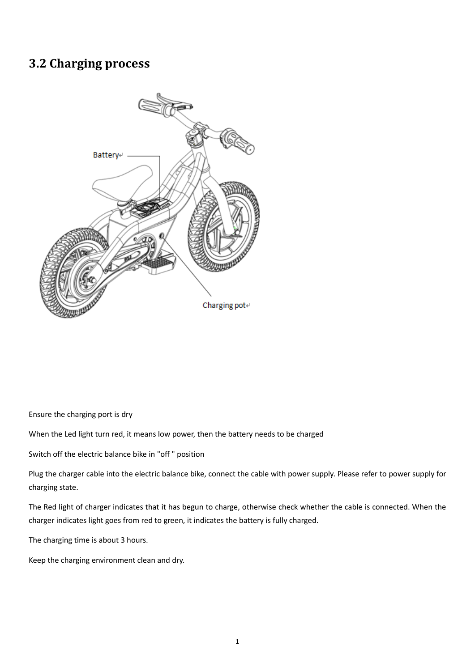#### <span id="page-12-0"></span>**3.2 Charging process**



Ensure the charging port is dry

When the Led light turn red, it means low power, then the battery needs to be charged

Switch off the electric balance bike in "off " position

Plug the charger cable into the electric balance bike, connect the cable with power supply. Please refer to power supply for charging state.

The Red light of charger indicates that it has begun to charge, otherwise check whether the cable is connected. When the charger indicates light goes from red to green, it indicates the battery is fully charged.

The charging time is about 3 hours.

Keep the charging environment clean and dry.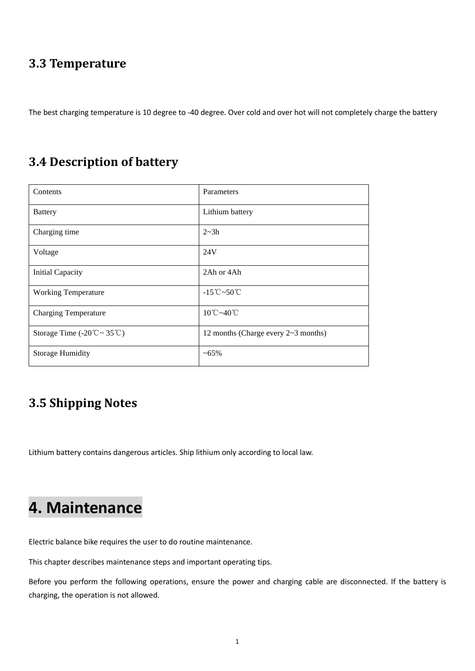#### <span id="page-13-0"></span>**3.3 Temperature**

The best charging temperature is 10 degree to -40 degree. Over cold and over hot will not completely charge the battery

#### <span id="page-13-1"></span>**3.4 Description of battery**

| Contents                                                     | Parameters                                    |
|--------------------------------------------------------------|-----------------------------------------------|
| <b>Battery</b>                                               | Lithium battery                               |
| Charging time                                                | $2 - 3h$                                      |
| Voltage                                                      | 24V                                           |
| <b>Initial Capacity</b>                                      | 2Ah or 4Ah                                    |
| <b>Working Temperature</b>                                   | $-15^{\circ}\text{C} \sim 50^{\circ}\text{C}$ |
| <b>Charging Temperature</b>                                  | $10^{\circ}$ C ~40 $^{\circ}$ C               |
| Storage Time $(-20^{\circ}\text{C} \sim 35^{\circ}\text{C})$ | 12 months (Charge every $2 \sim 3$ months)    |
| <b>Storage Humidity</b>                                      | $~100-65\%$                                   |

### <span id="page-13-2"></span>**3.5 Shipping Notes**

Lithium battery contains dangerous articles. Ship lithium only according to local law.

# <span id="page-13-3"></span>**4. Maintenance**

Electric balance bike requires the user to do routine maintenance.

This chapter describes maintenance steps and important operating tips.

Before you perform the following operations, ensure the power and charging cable are disconnected. If the battery is charging, the operation is not allowed.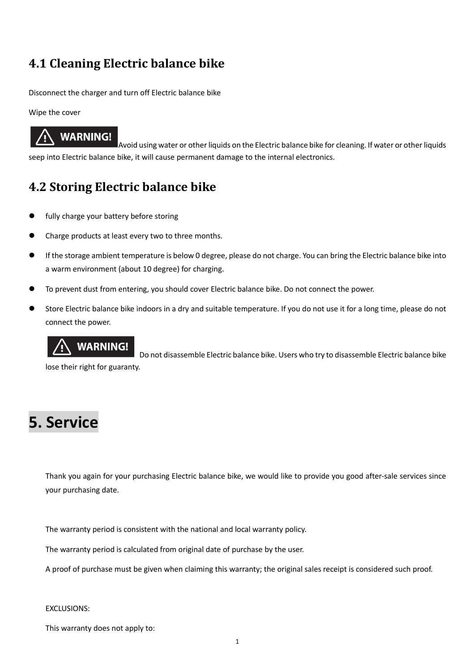### <span id="page-14-0"></span>**4.1 Cleaning Electric balance bike**

Disconnect the charger and turn off Electric balance bike

Wipe the cover

## **WARNING!**

Avoid using water or other liquids on the Electric balance bike for cleaning. If water or other liquids seep into Electric balance bike, it will cause permanent damage to the internal electronics.

### <span id="page-14-1"></span>**4.2 Storing Electric balance bike**

- fully charge your battery before storing
- Charge products at least every two to three months.
- If the storage ambient temperature is below 0 degree, please do not charge. You can bring the Electric balance bike into a warm environment (about 10 degree) for charging.
- To prevent dust from entering, you should cover Electric balance bike. Do not connect the power.
- Store Electric balance bike indoors in a dry and suitable temperature. If you do not use it for a long time, please do not connect the power.

## **WARNING!**

Do not disassemble Electric balance bike. Users who try to disassemble Electric balance bike lose their right for guaranty.

# <span id="page-14-2"></span>**5. Service**

Thank you again for your purchasing Electric balance bike, we would like to provide you good after-sale services since your purchasing date.

The warranty period is consistent with the national and local warranty policy.

The warranty period is calculated from original date of purchase by the user.

A proof of purchase must be given when claiming this warranty; the original sales receipt is considered such proof.

#### EXCLUSIONS:

This warranty does not apply to: